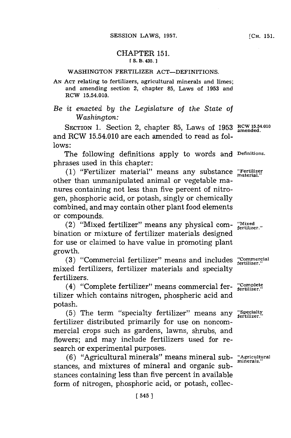## CHAPTER **151. fS.** B. 435.]1

## WASHINGTON FERTILIZER ACT-DEFINITIONS.

**AN ACT** relating to fertilizers, agricultural minerals and limes; and amending section 2, chapter **85,** Laws of **1953** and RCW 15.54.010.

*Be it enacted by the Legislature of the State of Washington:*

SECTION 1. Section 2, chapter 85, Laws of 1953 RCW 15.54.010 and RCW 15.54.010 are each amended to read as fol**lows:**

The following definitions apply to words and **Definitions.** phrases used in this chapter:

**(1)** "Fertilizer material" means any substance **"Fertiie** other than umnanipulated animal or vegetable manures containing not less than five percent of nitrogen, phosphoric acid, or potash, singly or chemically combined, and may contain other plant food elements or compounds.

(2) "Mixed fertilizer" means any physical com- **"Mixed fertilizer."** bination or mixture of fertilizer materials designed for use or claimed to have value in promoting plant growth.

(3) "Commercial fertilizer" means and includes "Commercial mixed fertilizers, fertilizer materials and specialty fertilizers.

(4) "Complete fertilizer" means commercial fer- "Complete". tilizer which contains nitrogen, phospheric acid and potash.

(5) The term "specialty fertilizer" means any "Specialty fertilizer distributed primarily for use on noncommercial crops such as gardens, lawns, shrubs, and flowers; and may include fertilizers used for research or experimental purposes.

**(6)** "Agricultural minerals" means mineral sub- **"Agricultural minerals."** stances, and mixtures of mineral and organic substances containing less than five percent in available form of nitrogen, phosphoric acid, or potash, collec-

**[CH. 151.**